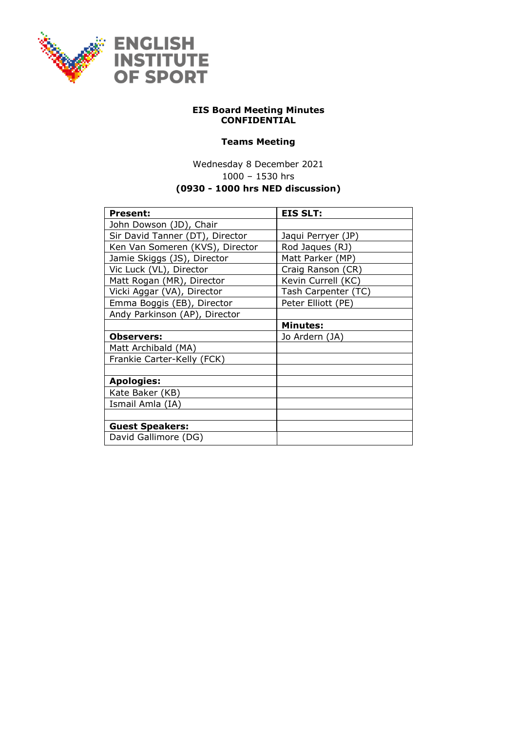

## **EIS Board Meeting Minutes CONFIDENTIAL**

## **Teams Meeting**

Wednesday 8 December 2021 1000 – 1530 hrs **(0930 - 1000 hrs NED discussion)**

| <b>Present:</b>                 | <b>EIS SLT:</b>     |
|---------------------------------|---------------------|
| John Dowson (JD), Chair         |                     |
| Sir David Tanner (DT), Director | Jaqui Perryer (JP)  |
| Ken Van Someren (KVS), Director | Rod Jaques (RJ)     |
| Jamie Skiggs (JS), Director     | Matt Parker (MP)    |
| Vic Luck (VL), Director         | Craig Ranson (CR)   |
| Matt Rogan (MR), Director       | Kevin Currell (KC)  |
| Vicki Aggar (VA), Director      | Tash Carpenter (TC) |
| Emma Boggis (EB), Director      | Peter Elliott (PE)  |
| Andy Parkinson (AP), Director   |                     |
|                                 | <b>Minutes:</b>     |
| <b>Observers:</b>               | Jo Ardern (JA)      |
| Matt Archibald (MA)             |                     |
| Frankie Carter-Kelly (FCK)      |                     |
|                                 |                     |
| <b>Apologies:</b>               |                     |
| Kate Baker (KB)                 |                     |
| Ismail Amla (IA)                |                     |
|                                 |                     |
| <b>Guest Speakers:</b>          |                     |
| David Gallimore (DG)            |                     |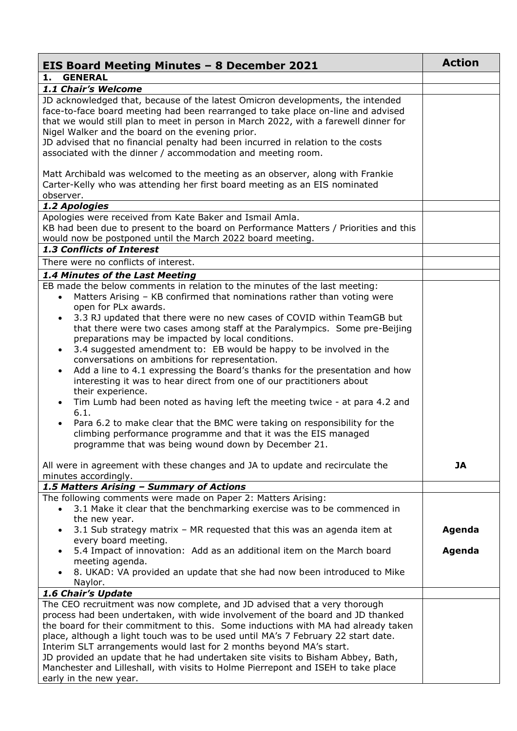| EIS Board Meeting Minutes - 8 December 2021                                                                                                                                                                                                                                                                                                                                                                                                                                                                                                                                                                                                                                                                                                                                                                                                                                                                                                                                            | <b>Action</b> |
|----------------------------------------------------------------------------------------------------------------------------------------------------------------------------------------------------------------------------------------------------------------------------------------------------------------------------------------------------------------------------------------------------------------------------------------------------------------------------------------------------------------------------------------------------------------------------------------------------------------------------------------------------------------------------------------------------------------------------------------------------------------------------------------------------------------------------------------------------------------------------------------------------------------------------------------------------------------------------------------|---------------|
| <b>GENERAL</b><br>1.                                                                                                                                                                                                                                                                                                                                                                                                                                                                                                                                                                                                                                                                                                                                                                                                                                                                                                                                                                   |               |
| 1.1 Chair's Welcome                                                                                                                                                                                                                                                                                                                                                                                                                                                                                                                                                                                                                                                                                                                                                                                                                                                                                                                                                                    |               |
| JD acknowledged that, because of the latest Omicron developments, the intended<br>face-to-face board meeting had been rearranged to take place on-line and advised<br>that we would still plan to meet in person in March 2022, with a farewell dinner for<br>Nigel Walker and the board on the evening prior.<br>JD advised that no financial penalty had been incurred in relation to the costs<br>associated with the dinner / accommodation and meeting room.                                                                                                                                                                                                                                                                                                                                                                                                                                                                                                                      |               |
| Matt Archibald was welcomed to the meeting as an observer, along with Frankie<br>Carter-Kelly who was attending her first board meeting as an EIS nominated<br>observer.                                                                                                                                                                                                                                                                                                                                                                                                                                                                                                                                                                                                                                                                                                                                                                                                               |               |
| 1.2 Apologies                                                                                                                                                                                                                                                                                                                                                                                                                                                                                                                                                                                                                                                                                                                                                                                                                                                                                                                                                                          |               |
| Apologies were received from Kate Baker and Ismail Amla.<br>KB had been due to present to the board on Performance Matters / Priorities and this<br>would now be postponed until the March 2022 board meeting.<br>1.3 Conflicts of Interest                                                                                                                                                                                                                                                                                                                                                                                                                                                                                                                                                                                                                                                                                                                                            |               |
|                                                                                                                                                                                                                                                                                                                                                                                                                                                                                                                                                                                                                                                                                                                                                                                                                                                                                                                                                                                        |               |
| There were no conflicts of interest.                                                                                                                                                                                                                                                                                                                                                                                                                                                                                                                                                                                                                                                                                                                                                                                                                                                                                                                                                   |               |
| 1.4 Minutes of the Last Meeting<br>EB made the below comments in relation to the minutes of the last meeting:<br>Matters Arising - KB confirmed that nominations rather than voting were<br>open for PLx awards.<br>3.3 RJ updated that there were no new cases of COVID within TeamGB but<br>that there were two cases among staff at the Paralympics. Some pre-Beijing<br>preparations may be impacted by local conditions.<br>3.4 suggested amendment to: EB would be happy to be involved in the<br>$\bullet$<br>conversations on ambitions for representation.<br>Add a line to 4.1 expressing the Board's thanks for the presentation and how<br>interesting it was to hear direct from one of our practitioners about<br>their experience.<br>Tim Lumb had been noted as having left the meeting twice - at para 4.2 and<br>6.1.<br>Para 6.2 to make clear that the BMC were taking on responsibility for the<br>climbing performance programme and that it was the EIS managed |               |
| programme that was being wound down by December 21.<br>All were in agreement with these changes and JA to update and recirculate the<br>minutes accordingly.                                                                                                                                                                                                                                                                                                                                                                                                                                                                                                                                                                                                                                                                                                                                                                                                                           | <b>JA</b>     |
| 1.5 Matters Arising - Summary of Actions                                                                                                                                                                                                                                                                                                                                                                                                                                                                                                                                                                                                                                                                                                                                                                                                                                                                                                                                               |               |
| The following comments were made on Paper 2: Matters Arising:<br>3.1 Make it clear that the benchmarking exercise was to be commenced in<br>$\bullet$<br>the new year.<br>3.1 Sub strategy matrix - MR requested that this was an agenda item at<br>$\bullet$                                                                                                                                                                                                                                                                                                                                                                                                                                                                                                                                                                                                                                                                                                                          | Agenda        |
| every board meeting.<br>5.4 Impact of innovation: Add as an additional item on the March board<br>$\bullet$<br>meeting agenda.<br>8. UKAD: VA provided an update that she had now been introduced to Mike                                                                                                                                                                                                                                                                                                                                                                                                                                                                                                                                                                                                                                                                                                                                                                              | Agenda        |
| Naylor.<br>1.6 Chair's Update                                                                                                                                                                                                                                                                                                                                                                                                                                                                                                                                                                                                                                                                                                                                                                                                                                                                                                                                                          |               |
| The CEO recruitment was now complete, and JD advised that a very thorough<br>process had been undertaken, with wide involvement of the board and JD thanked<br>the board for their commitment to this. Some inductions with MA had already taken<br>place, although a light touch was to be used until MA's 7 February 22 start date.<br>Interim SLT arrangements would last for 2 months beyond MA's start.<br>JD provided an update that he had undertaken site visits to Bisham Abbey, Bath,<br>Manchester and Lilleshall, with visits to Holme Pierrepont and ISEH to take place<br>early in the new year.                                                                                                                                                                                                                                                                                                                                                                         |               |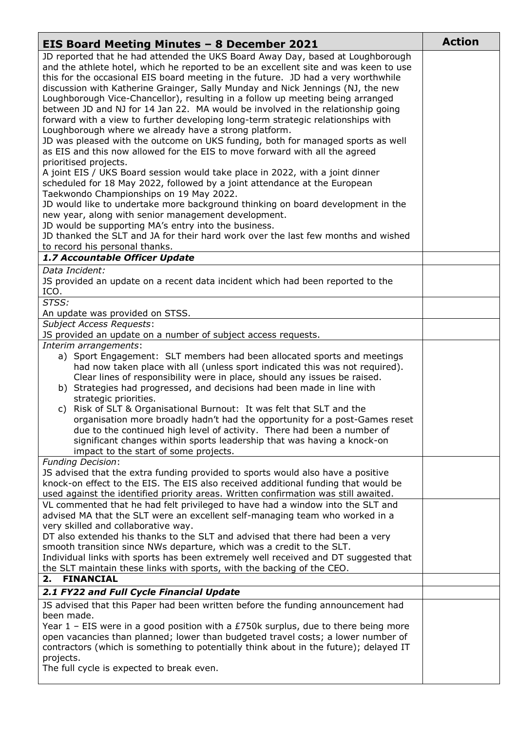| <b>EIS Board Meeting Minutes - 8 December 2021</b>                                                                                                                                                                                                                                                                                                                                                                                                                                                                                                                                                                                                               | <b>Action</b> |
|------------------------------------------------------------------------------------------------------------------------------------------------------------------------------------------------------------------------------------------------------------------------------------------------------------------------------------------------------------------------------------------------------------------------------------------------------------------------------------------------------------------------------------------------------------------------------------------------------------------------------------------------------------------|---------------|
| JD reported that he had attended the UKS Board Away Day, based at Loughborough<br>and the athlete hotel, which he reported to be an excellent site and was keen to use<br>this for the occasional EIS board meeting in the future. JD had a very worthwhile<br>discussion with Katherine Grainger, Sally Munday and Nick Jennings (NJ, the new<br>Loughborough Vice-Chancellor), resulting in a follow up meeting being arranged<br>between JD and NJ for 14 Jan 22. MA would be involved in the relationship going<br>forward with a view to further developing long-term strategic relationships with<br>Loughborough where we already have a strong platform. |               |
| JD was pleased with the outcome on UKS funding, both for managed sports as well<br>as EIS and this now allowed for the EIS to move forward with all the agreed<br>prioritised projects.<br>A joint EIS / UKS Board session would take place in 2022, with a joint dinner<br>scheduled for 18 May 2022, followed by a joint attendance at the European<br>Taekwondo Championships on 19 May 2022.                                                                                                                                                                                                                                                                 |               |
| JD would like to undertake more background thinking on board development in the<br>new year, along with senior management development.<br>JD would be supporting MA's entry into the business.<br>JD thanked the SLT and JA for their hard work over the last few months and wished                                                                                                                                                                                                                                                                                                                                                                              |               |
| to record his personal thanks.                                                                                                                                                                                                                                                                                                                                                                                                                                                                                                                                                                                                                                   |               |
| 1.7 Accountable Officer Update<br>Data Incident:                                                                                                                                                                                                                                                                                                                                                                                                                                                                                                                                                                                                                 |               |
| JS provided an update on a recent data incident which had been reported to the<br>ICO.                                                                                                                                                                                                                                                                                                                                                                                                                                                                                                                                                                           |               |
| STSS:<br>An update was provided on STSS.                                                                                                                                                                                                                                                                                                                                                                                                                                                                                                                                                                                                                         |               |
| <b>Subject Access Requests:</b>                                                                                                                                                                                                                                                                                                                                                                                                                                                                                                                                                                                                                                  |               |
| JS provided an update on a number of subject access requests.<br>Interim arrangements:                                                                                                                                                                                                                                                                                                                                                                                                                                                                                                                                                                           |               |
| a) Sport Engagement: SLT members had been allocated sports and meetings<br>had now taken place with all (unless sport indicated this was not required).<br>Clear lines of responsibility were in place, should any issues be raised.<br>b) Strategies had progressed, and decisions had been made in line with<br>strategic priorities.                                                                                                                                                                                                                                                                                                                          |               |
| c) Risk of SLT & Organisational Burnout: It was felt that SLT and the<br>organisation more broadly hadn't had the opportunity for a post-Games reset<br>due to the continued high level of activity. There had been a number of<br>significant changes within sports leadership that was having a knock-on<br>impact to the start of some projects.                                                                                                                                                                                                                                                                                                              |               |
| <b>Funding Decision:</b>                                                                                                                                                                                                                                                                                                                                                                                                                                                                                                                                                                                                                                         |               |
| JS advised that the extra funding provided to sports would also have a positive<br>knock-on effect to the EIS. The EIS also received additional funding that would be<br>used against the identified priority areas. Written confirmation was still awaited.                                                                                                                                                                                                                                                                                                                                                                                                     |               |
| VL commented that he had felt privileged to have had a window into the SLT and<br>advised MA that the SLT were an excellent self-managing team who worked in a<br>very skilled and collaborative way.                                                                                                                                                                                                                                                                                                                                                                                                                                                            |               |
| DT also extended his thanks to the SLT and advised that there had been a very<br>smooth transition since NWs departure, which was a credit to the SLT.<br>Individual links with sports has been extremely well received and DT suggested that                                                                                                                                                                                                                                                                                                                                                                                                                    |               |
| the SLT maintain these links with sports, with the backing of the CEO.                                                                                                                                                                                                                                                                                                                                                                                                                                                                                                                                                                                           |               |
| <b>FINANCIAL</b><br>2.                                                                                                                                                                                                                                                                                                                                                                                                                                                                                                                                                                                                                                           |               |
| 2.1 FY22 and Full Cycle Financial Update                                                                                                                                                                                                                                                                                                                                                                                                                                                                                                                                                                                                                         |               |
| JS advised that this Paper had been written before the funding announcement had<br>been made.                                                                                                                                                                                                                                                                                                                                                                                                                                                                                                                                                                    |               |
| Year 1 – EIS were in a good position with a £750k surplus, due to there being more<br>open vacancies than planned; lower than budgeted travel costs; a lower number of<br>contractors (which is something to potentially think about in the future); delayed IT<br>projects.                                                                                                                                                                                                                                                                                                                                                                                     |               |
| The full cycle is expected to break even.                                                                                                                                                                                                                                                                                                                                                                                                                                                                                                                                                                                                                        |               |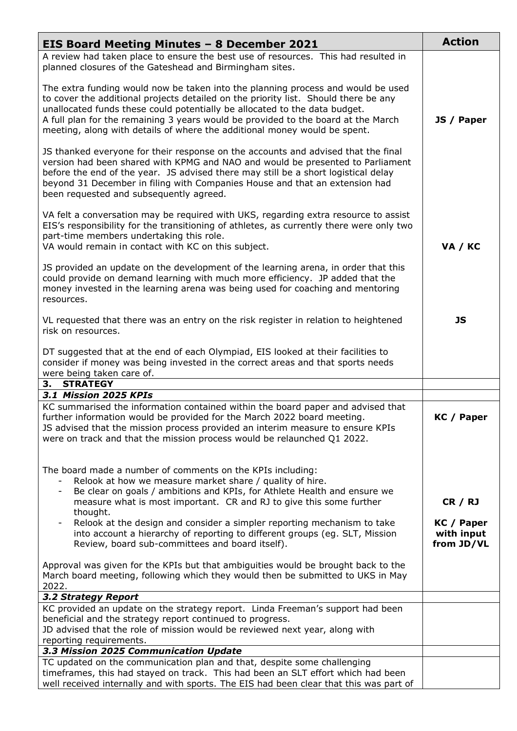| <b>EIS Board Meeting Minutes - 8 December 2021</b>                                                                                                                                                                                                                                                                                                                                                                      | <b>Action</b>            |
|-------------------------------------------------------------------------------------------------------------------------------------------------------------------------------------------------------------------------------------------------------------------------------------------------------------------------------------------------------------------------------------------------------------------------|--------------------------|
| A review had taken place to ensure the best use of resources. This had resulted in<br>planned closures of the Gateshead and Birmingham sites.                                                                                                                                                                                                                                                                           |                          |
| The extra funding would now be taken into the planning process and would be used<br>to cover the additional projects detailed on the priority list. Should there be any<br>unallocated funds these could potentially be allocated to the data budget.<br>A full plan for the remaining 3 years would be provided to the board at the March<br>meeting, along with details of where the additional money would be spent. | JS / Paper               |
| JS thanked everyone for their response on the accounts and advised that the final<br>version had been shared with KPMG and NAO and would be presented to Parliament<br>before the end of the year. JS advised there may still be a short logistical delay<br>beyond 31 December in filing with Companies House and that an extension had<br>been requested and subsequently agreed.                                     |                          |
| VA felt a conversation may be required with UKS, regarding extra resource to assist<br>EIS's responsibility for the transitioning of athletes, as currently there were only two<br>part-time members undertaking this role.<br>VA would remain in contact with KC on this subject.                                                                                                                                      | VA / KC                  |
| JS provided an update on the development of the learning arena, in order that this<br>could provide on demand learning with much more efficiency. JP added that the<br>money invested in the learning arena was being used for coaching and mentoring<br>resources.                                                                                                                                                     |                          |
| VL requested that there was an entry on the risk register in relation to heightened<br>risk on resources.                                                                                                                                                                                                                                                                                                               | <b>JS</b>                |
| DT suggested that at the end of each Olympiad, EIS looked at their facilities to<br>consider if money was being invested in the correct areas and that sports needs<br>were being taken care of.                                                                                                                                                                                                                        |                          |
| 3. STRATEGY<br>3.1 Mission 2025 KPIs                                                                                                                                                                                                                                                                                                                                                                                    |                          |
| KC summarised the information contained within the board paper and advised that<br>further information would be provided for the March 2022 board meeting.<br>JS advised that the mission process provided an interim measure to ensure KPIs<br>were on track and that the mission process would be relaunched Q1 2022.                                                                                                 | KC / Paper               |
| The board made a number of comments on the KPIs including:<br>Relook at how we measure market share / quality of hire.<br>Be clear on goals / ambitions and KPIs, for Athlete Health and ensure we<br>measure what is most important. CR and RJ to give this some further<br>thought.<br>Relook at the design and consider a simpler reporting mechanism to take                                                        | CR / RJ<br>KC / Paper    |
| into account a hierarchy of reporting to different groups (eg. SLT, Mission<br>Review, board sub-committees and board itself).                                                                                                                                                                                                                                                                                          | with input<br>from JD/VL |
| Approval was given for the KPIs but that ambiguities would be brought back to the<br>March board meeting, following which they would then be submitted to UKS in May<br>2022.                                                                                                                                                                                                                                           |                          |
| 3.2 Strategy Report                                                                                                                                                                                                                                                                                                                                                                                                     |                          |
| KC provided an update on the strategy report. Linda Freeman's support had been<br>beneficial and the strategy report continued to progress.<br>JD advised that the role of mission would be reviewed next year, along with<br>reporting requirements.                                                                                                                                                                   |                          |
| 3.3 Mission 2025 Communication Update                                                                                                                                                                                                                                                                                                                                                                                   |                          |
| TC updated on the communication plan and that, despite some challenging                                                                                                                                                                                                                                                                                                                                                 |                          |
| timeframes, this had stayed on track. This had been an SLT effort which had been<br>well received internally and with sports. The EIS had been clear that this was part of                                                                                                                                                                                                                                              |                          |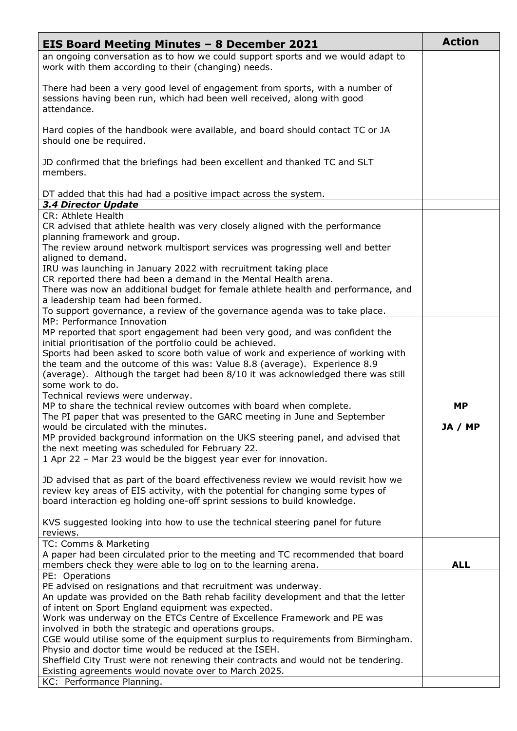| <b>EIS Board Meeting Minutes - 8 December 2021</b>                                                                                                                                                                                               | <b>Action</b> |
|--------------------------------------------------------------------------------------------------------------------------------------------------------------------------------------------------------------------------------------------------|---------------|
| an ongoing conversation as to how we could support sports and we would adapt to<br>work with them according to their (changing) needs.                                                                                                           |               |
| There had been a very good level of engagement from sports, with a number of<br>sessions having been run, which had been well received, along with good<br>attendance.                                                                           |               |
| Hard copies of the handbook were available, and board should contact TC or JA<br>should one be required.                                                                                                                                         |               |
| JD confirmed that the briefings had been excellent and thanked TC and SLT<br>members.                                                                                                                                                            |               |
| DT added that this had had a positive impact across the system.                                                                                                                                                                                  |               |
| 3.4 Director Update<br>CR: Athlete Health                                                                                                                                                                                                        |               |
| CR advised that athlete health was very closely aligned with the performance                                                                                                                                                                     |               |
| planning framework and group.                                                                                                                                                                                                                    |               |
| The review around network multisport services was progressing well and better<br>aligned to demand.                                                                                                                                              |               |
| IRU was launching in January 2022 with recruitment taking place                                                                                                                                                                                  |               |
| CR reported there had been a demand in the Mental Health arena.                                                                                                                                                                                  |               |
| There was now an additional budget for female athlete health and performance, and<br>a leadership team had been formed.                                                                                                                          |               |
| To support governance, a review of the governance agenda was to take place.                                                                                                                                                                      |               |
| MP: Performance Innovation                                                                                                                                                                                                                       |               |
| MP reported that sport engagement had been very good, and was confident the                                                                                                                                                                      |               |
| initial prioritisation of the portfolio could be achieved.<br>Sports had been asked to score both value of work and experience of working with                                                                                                   |               |
| the team and the outcome of this was: Value 8.8 (average). Experience 8.9<br>(average). Although the target had been 8/10 it was acknowledged there was still<br>some work to do.                                                                |               |
| Technical reviews were underway.                                                                                                                                                                                                                 |               |
| MP to share the technical review outcomes with board when complete.<br>The PI paper that was presented to the GARC meeting in June and September                                                                                                 | МP            |
| would be circulated with the minutes.                                                                                                                                                                                                            | JA / MP       |
| MP provided background information on the UKS steering panel, and advised that                                                                                                                                                                   |               |
| the next meeting was scheduled for February 22.                                                                                                                                                                                                  |               |
| 1 Apr 22 - Mar 23 would be the biggest year ever for innovation.                                                                                                                                                                                 |               |
| JD advised that as part of the board effectiveness review we would revisit how we<br>review key areas of EIS activity, with the potential for changing some types of<br>board interaction eg holding one-off sprint sessions to build knowledge. |               |
| KVS suggested looking into how to use the technical steering panel for future<br>reviews.                                                                                                                                                        |               |
| TC: Comms & Marketing                                                                                                                                                                                                                            |               |
| A paper had been circulated prior to the meeting and TC recommended that board                                                                                                                                                                   |               |
| members check they were able to log on to the learning arena.                                                                                                                                                                                    | <b>ALL</b>    |
| PE: Operations<br>PE advised on resignations and that recruitment was underway.                                                                                                                                                                  |               |
| An update was provided on the Bath rehab facility development and that the letter                                                                                                                                                                |               |
| of intent on Sport England equipment was expected.                                                                                                                                                                                               |               |
| Work was underway on the ETCs Centre of Excellence Framework and PE was                                                                                                                                                                          |               |
| involved in both the strategic and operations groups.<br>CGE would utilise some of the equipment surplus to requirements from Birmingham.                                                                                                        |               |
| Physio and doctor time would be reduced at the ISEH.                                                                                                                                                                                             |               |
| Sheffield City Trust were not renewing their contracts and would not be tendering.                                                                                                                                                               |               |
| Existing agreements would novate over to March 2025.<br>KC: Performance Planning.                                                                                                                                                                |               |
|                                                                                                                                                                                                                                                  |               |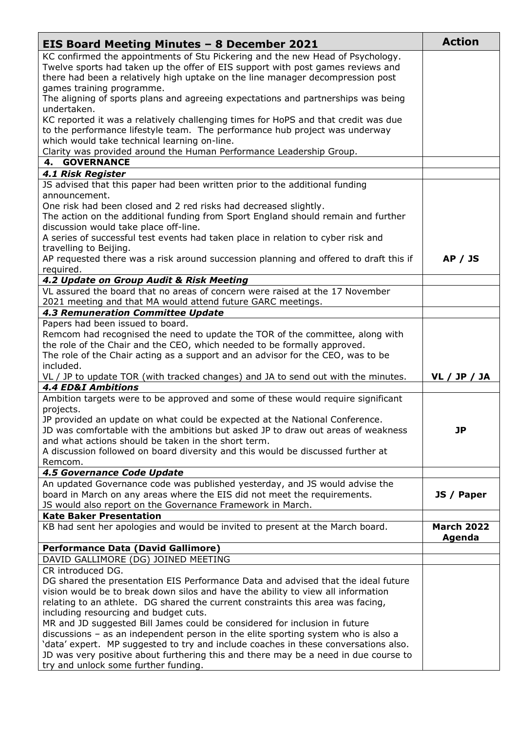| <b>EIS Board Meeting Minutes - 8 December 2021</b>                                                                                                                | <b>Action</b>               |
|-------------------------------------------------------------------------------------------------------------------------------------------------------------------|-----------------------------|
| KC confirmed the appointments of Stu Pickering and the new Head of Psychology.                                                                                    |                             |
| Twelve sports had taken up the offer of EIS support with post games reviews and                                                                                   |                             |
| there had been a relatively high uptake on the line manager decompression post                                                                                    |                             |
| games training programme.                                                                                                                                         |                             |
| The aligning of sports plans and agreeing expectations and partnerships was being                                                                                 |                             |
| undertaken.                                                                                                                                                       |                             |
| KC reported it was a relatively challenging times for HoPS and that credit was due<br>to the performance lifestyle team. The performance hub project was underway |                             |
| which would take technical learning on-line.                                                                                                                      |                             |
| Clarity was provided around the Human Performance Leadership Group.                                                                                               |                             |
| <b>4. GOVERNANCE</b>                                                                                                                                              |                             |
| <b>4.1 Risk Register</b>                                                                                                                                          |                             |
| JS advised that this paper had been written prior to the additional funding                                                                                       |                             |
| announcement.                                                                                                                                                     |                             |
| One risk had been closed and 2 red risks had decreased slightly.                                                                                                  |                             |
| The action on the additional funding from Sport England should remain and further                                                                                 |                             |
| discussion would take place off-line.                                                                                                                             |                             |
| A series of successful test events had taken place in relation to cyber risk and                                                                                  |                             |
| travelling to Beijing.                                                                                                                                            |                             |
| AP requested there was a risk around succession planning and offered to draft this if                                                                             | <b>AP / JS</b>              |
| required.<br>4.2 Update on Group Audit & Risk Meeting                                                                                                             |                             |
| VL assured the board that no areas of concern were raised at the 17 November                                                                                      |                             |
| 2021 meeting and that MA would attend future GARC meetings.                                                                                                       |                             |
| <b>4.3 Remuneration Committee Update</b>                                                                                                                          |                             |
| Papers had been issued to board.                                                                                                                                  |                             |
| Remcom had recognised the need to update the TOR of the committee, along with                                                                                     |                             |
| the role of the Chair and the CEO, which needed to be formally approved.                                                                                          |                             |
| The role of the Chair acting as a support and an advisor for the CEO, was to be                                                                                   |                             |
| included.                                                                                                                                                         |                             |
| VL / JP to update TOR (with tracked changes) and JA to send out with the minutes.                                                                                 | <b>VL / JP / JA</b>         |
| <b>4.4 ED&amp;I Ambitions</b>                                                                                                                                     |                             |
| Ambition targets were to be approved and some of these would require significant                                                                                  |                             |
| projects.<br>JP provided an update on what could be expected at the National Conference                                                                           |                             |
| JD was comfortable with the ambitions but asked JP to draw out areas of weakness                                                                                  | <b>JP</b>                   |
| and what actions should be taken in the short term.                                                                                                               |                             |
| A discussion followed on board diversity and this would be discussed further at                                                                                   |                             |
| Remcom.                                                                                                                                                           |                             |
| 4.5 Governance Code Update                                                                                                                                        |                             |
| An updated Governance code was published yesterday, and JS would advise the                                                                                       |                             |
| board in March on any areas where the EIS did not meet the requirements.                                                                                          | JS / Paper                  |
| JS would also report on the Governance Framework in March.                                                                                                        |                             |
| <b>Kate Baker Presentation</b>                                                                                                                                    |                             |
| KB had sent her apologies and would be invited to present at the March board.                                                                                     | <b>March 2022</b><br>Agenda |
| <b>Performance Data (David Gallimore)</b>                                                                                                                         |                             |
| DAVID GALLIMORE (DG) JOINED MEETING                                                                                                                               |                             |
| CR introduced DG.                                                                                                                                                 |                             |
| DG shared the presentation EIS Performance Data and advised that the ideal future                                                                                 |                             |
| vision would be to break down silos and have the ability to view all information                                                                                  |                             |
| relating to an athlete. DG shared the current constraints this area was facing,<br>including resourcing and budget cuts.                                          |                             |
| MR and JD suggested Bill James could be considered for inclusion in future                                                                                        |                             |
| discussions - as an independent person in the elite sporting system who is also a                                                                                 |                             |
| 'data' expert. MP suggested to try and include coaches in these conversations also.                                                                               |                             |
| JD was very positive about furthering this and there may be a need in due course to                                                                               |                             |
| try and unlock some further funding.                                                                                                                              |                             |